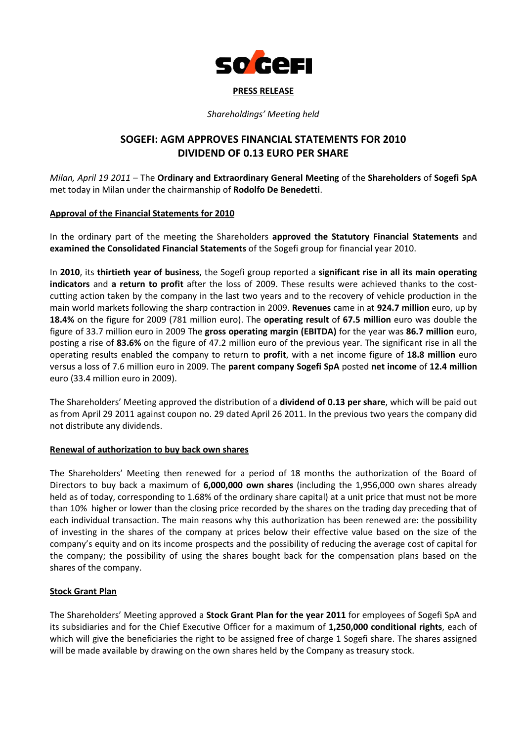

#### PRESS RELEASE

Shareholdings' Meeting held

# SOGEFI: AGM APPROVES FINANCIAL STATEMENTS FOR 2010 DIVIDEND OF 0.13 EURO PER SHARE

Milan, April 19 2011 – The Ordinary and Extraordinary General Meeting of the Shareholders of Sogefi SpA met today in Milan under the chairmanship of Rodolfo De Benedetti.

#### Approval of the Financial Statements for 2010

In the ordinary part of the meeting the Shareholders approved the Statutory Financial Statements and examined the Consolidated Financial Statements of the Sogefi group for financial year 2010.

In 2010, its thirtieth year of business, the Sogefi group reported a significant rise in all its main operating indicators and a return to profit after the loss of 2009. These results were achieved thanks to the costcutting action taken by the company in the last two years and to the recovery of vehicle production in the main world markets following the sharp contraction in 2009. Revenues came in at 924.7 million euro, up by 18.4% on the figure for 2009 (781 million euro). The operating result of 67.5 million euro was double the figure of 33.7 million euro in 2009 The gross operating margin (EBITDA) for the year was 86.7 million euro, posting a rise of 83.6% on the figure of 47.2 million euro of the previous year. The significant rise in all the operating results enabled the company to return to **profit**, with a net income figure of 18.8 million euro versus a loss of 7.6 million euro in 2009. The parent company Sogefi SpA posted net income of 12.4 million euro (33.4 million euro in 2009).

The Shareholders' Meeting approved the distribution of a **dividend of 0.13 per share**, which will be paid out as from April 29 2011 against coupon no. 29 dated April 26 2011. In the previous two years the company did not distribute any dividends.

# Renewal of authorization to buy back own shares

The Shareholders' Meeting then renewed for a period of 18 months the authorization of the Board of Directors to buy back a maximum of 6,000,000 own shares (including the 1,956,000 own shares already held as of today, corresponding to 1.68% of the ordinary share capital) at a unit price that must not be more than 10% higher or lower than the closing price recorded by the shares on the trading day preceding that of each individual transaction. The main reasons why this authorization has been renewed are: the possibility of investing in the shares of the company at prices below their effective value based on the size of the company's equity and on its income prospects and the possibility of reducing the average cost of capital for the company; the possibility of using the shares bought back for the compensation plans based on the shares of the company.

# **Stock Grant Plan**

The Shareholders' Meeting approved a Stock Grant Plan for the year 2011 for employees of Sogefi SpA and its subsidiaries and for the Chief Executive Officer for a maximum of 1,250,000 conditional rights, each of which will give the beneficiaries the right to be assigned free of charge 1 Sogefi share. The shares assigned will be made available by drawing on the own shares held by the Company as treasury stock.